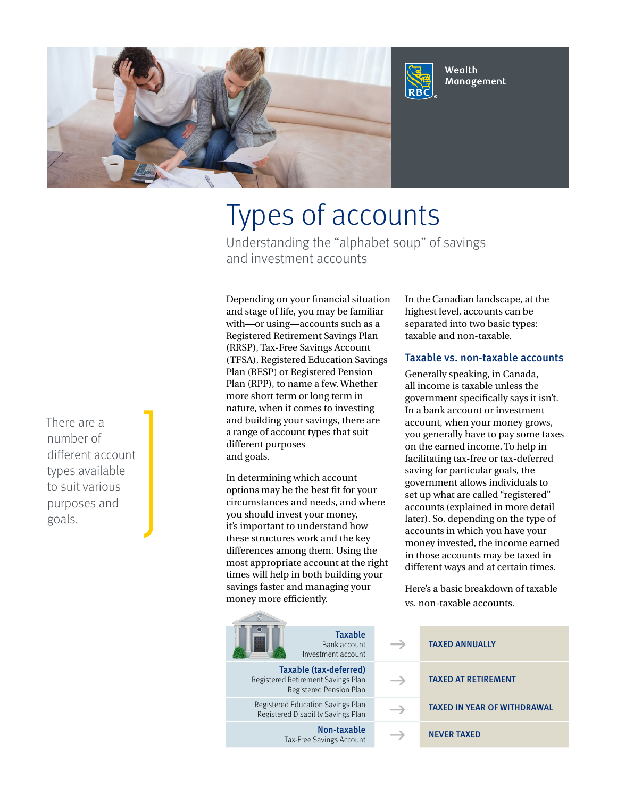

# Types of accounts

Understanding the "alphabet soup" of savings and investment accounts

Depending on your financial situation and stage of life, you may be familiar with—or using—accounts such as a Registered Retirement Savings Plan (RRSP), Tax-Free Savings Account (TFSA), Registered Education Savings Plan (RESP) or Registered Pension Plan (RPP), to name a few. Whether more short term or long term in nature, when it comes to investing and building your savings, there are a range of account types that suit different purposes and goals.

In determining which account options may be the best fit for your circumstances and needs, and where you should invest your money, it's important to understand how these structures work and the key differences among them. Using the most appropriate account at the right times will help in both building your savings faster and managing your money more efficiently.

> Registered Education Savings Plan Registered Disability Savings Plan

Taxable Bank account Investment account Taxable (tax-deferred) Registered Retirement Savings Plan Registered Pension Plan

> Non-taxable Tax-Free Savings Account

In the Canadian landscape, at the highest level, accounts can be separated into two basic types: taxable and non-taxable.

#### Taxable vs. non-taxable accounts

Generally speaking, in Canada, all income is taxable unless the government specifically says it isn't. In a bank account or investment account, when your money grows, you generally have to pay some taxes on the earned income. To help in facilitating tax-free or tax-deferred saving for particular goals, the government allows individuals to set up what are called "registered" accounts (explained in more detail later). So, depending on the type of accounts in which you have your money invested, the income earned in those accounts may be taxed in different ways and at certain times.

Here's a basic breakdown of taxable vs. non-taxable accounts.

|  | <b>TAXED ANNUALLY</b>              |
|--|------------------------------------|
|  | <b>TAXED AT RETIREMENT</b>         |
|  | <b>TAXED IN YEAR OF WITHDRAWAL</b> |
|  | <b>NEVER TAXED</b>                 |

There are a number of different account types available to suit various purposes and goals.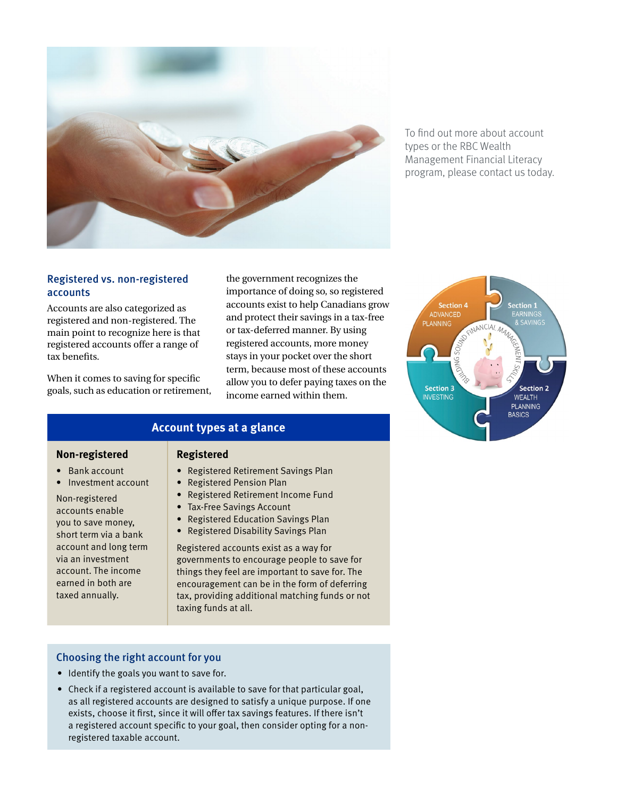

To find out more about account types or the RBC Wealth Management Financial Literacy program, please contact us today.

#### Registered vs. non-registered accounts

Accounts are also categorized as registered and non-registered. The main point to recognize here is that registered accounts offer a range of tax benefits.

When it comes to saving for specific goals, such as education or retirement, the government recognizes the importance of doing so, so registered accounts exist to help Canadians grow and protect their savings in a tax-free or tax-deferred manner. By using registered accounts, more money stays in your pocket over the short term, because most of these accounts allow you to defer paying taxes on the income earned within them.

#### **Account types at a glance**

#### **Non-registered** • Bank account

Non-registered accounts enable you to save money, short term via a bank account and long term via an investment account. The income earned in both are taxed annually.

• Investment account

#### **Registered**

- Registered Retirement Savings Plan
- Registered Pension Plan
- Registered Retirement Income Fund
- Tax-Free Savings Account
- Registered Education Savings Plan
- Registered Disability Savings Plan

Registered accounts exist as a way for governments to encourage people to save for things they feel are important to save for. The encouragement can be in the form of deferring tax, providing additional matching funds or not taxing funds at all.

#### Choosing the right account for you

- Identify the goals you want to save for.
- Check if a registered account is available to save for that particular goal, as all registered accounts are designed to satisfy a unique purpose. If one exists, choose it first, since it will offer tax savings features. If there isn't a registered account specific to your goal, then consider opting for a nonregistered taxable account.

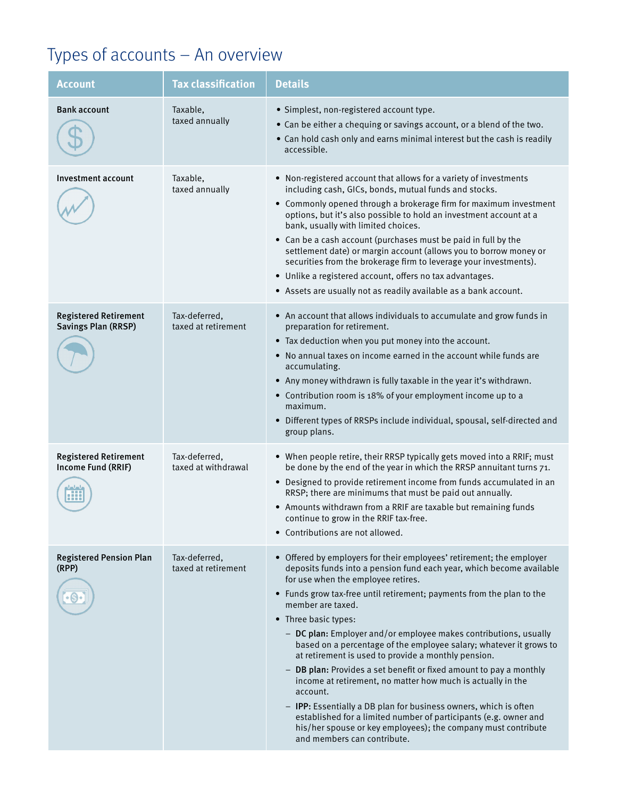## Types of accounts – An overview

| <b>Account</b>                                             | <b>Tax classification</b>            | <b>Details</b>                                                                                                                                                                                                                                                                                                                                                                                                                                                                                                                                                                                                                                                                                                                                                                                                                                                                                     |
|------------------------------------------------------------|--------------------------------------|----------------------------------------------------------------------------------------------------------------------------------------------------------------------------------------------------------------------------------------------------------------------------------------------------------------------------------------------------------------------------------------------------------------------------------------------------------------------------------------------------------------------------------------------------------------------------------------------------------------------------------------------------------------------------------------------------------------------------------------------------------------------------------------------------------------------------------------------------------------------------------------------------|
| <b>Bank account</b>                                        | Taxable,<br>taxed annually           | · Simplest, non-registered account type.<br>• Can be either a chequing or savings account, or a blend of the two.<br>• Can hold cash only and earns minimal interest but the cash is readily<br>accessible.                                                                                                                                                                                                                                                                                                                                                                                                                                                                                                                                                                                                                                                                                        |
| Investment account                                         | Taxable,<br>taxed annually           | • Non-registered account that allows for a variety of investments<br>including cash, GICs, bonds, mutual funds and stocks.<br>• Commonly opened through a brokerage firm for maximum investment<br>options, but it's also possible to hold an investment account at a<br>bank, usually with limited choices.<br>• Can be a cash account (purchases must be paid in full by the<br>settlement date) or margin account (allows you to borrow money or<br>securities from the brokerage firm to leverage your investments).<br>• Unlike a registered account, offers no tax advantages.<br>• Assets are usually not as readily available as a bank account.                                                                                                                                                                                                                                           |
| <b>Registered Retirement</b><br><b>Savings Plan (RRSP)</b> | Tax-deferred,<br>taxed at retirement | • An account that allows individuals to accumulate and grow funds in<br>preparation for retirement.<br>• Tax deduction when you put money into the account.<br>• No annual taxes on income earned in the account while funds are<br>accumulating.<br>• Any money withdrawn is fully taxable in the year it's withdrawn.<br>• Contribution room is 18% of your employment income up to a<br>maximum.<br>• Different types of RRSPs include individual, spousal, self-directed and<br>group plans.                                                                                                                                                                                                                                                                                                                                                                                                   |
| <b>Registered Retirement</b><br>Income Fund (RRIF)         | Tax-deferred,<br>taxed at withdrawal | • When people retire, their RRSP typically gets moved into a RRIF; must<br>be done by the end of the year in which the RRSP annuitant turns 71.<br>• Designed to provide retirement income from funds accumulated in an<br>RRSP; there are minimums that must be paid out annually.<br>• Amounts withdrawn from a RRIF are taxable but remaining funds<br>continue to grow in the RRIF tax-free.<br>• Contributions are not allowed.                                                                                                                                                                                                                                                                                                                                                                                                                                                               |
| <b>Registered Pension Plan</b><br>(RPP)                    | Tax-deferred,<br>taxed at retirement | • Offered by employers for their employees' retirement; the employer<br>deposits funds into a pension fund each year, which become available<br>for use when the employee retires.<br>• Funds grow tax-free until retirement; payments from the plan to the<br>member are taxed.<br>• Three basic types:<br>- DC plan: Employer and/or employee makes contributions, usually<br>based on a percentage of the employee salary; whatever it grows to<br>at retirement is used to provide a monthly pension.<br>- DB plan: Provides a set benefit or fixed amount to pay a monthly<br>income at retirement, no matter how much is actually in the<br>account.<br>- IPP: Essentially a DB plan for business owners, which is often<br>established for a limited number of participants (e.g. owner and<br>his/her spouse or key employees); the company must contribute<br>and members can contribute. |